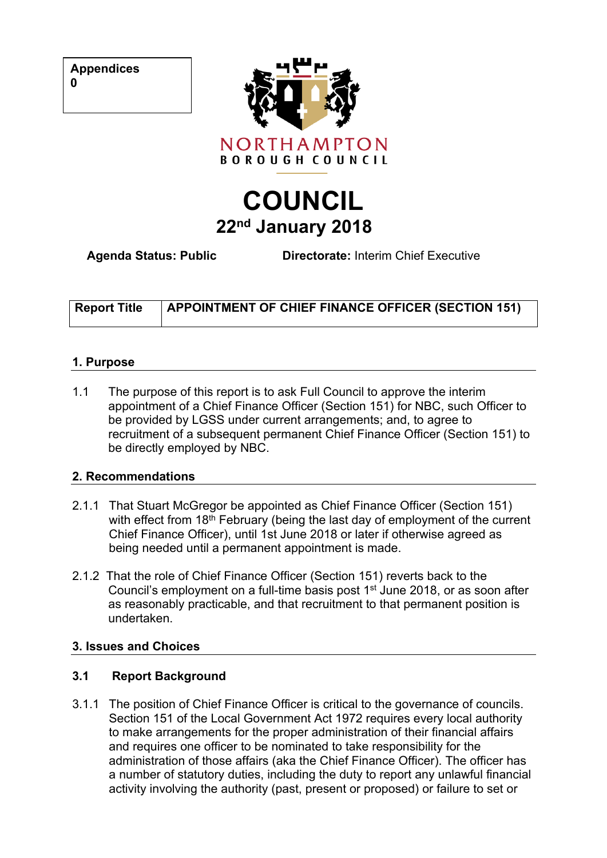**Appendices**



# **COUNCIL 22nd January 2018**

**Agenda Status: Public Directorate:** Interim Chief Executive

| <b>Report Title</b> | <b>APPOINTMENT OF CHIEF FINANCE OFFICER (SECTION 151)</b> |
|---------------------|-----------------------------------------------------------|
|                     |                                                           |

#### **1. Purpose**

1.1 The purpose of this report is to ask Full Council to approve the interim appointment of a Chief Finance Officer (Section 151) for NBC, such Officer to be provided by LGSS under current arrangements; and, to agree to recruitment of a subsequent permanent Chief Finance Officer (Section 151) to be directly employed by NBC.

#### **2. Recommendations**

- 2.1.1 That Stuart McGregor be appointed as Chief Finance Officer (Section 151) with effect from 18<sup>th</sup> February (being the last day of employment of the current Chief Finance Officer), until 1st June 2018 or later if otherwise agreed as being needed until a permanent appointment is made.
- 2.1.2 That the role of Chief Finance Officer (Section 151) reverts back to the Council's employment on a full-time basis post 1<sup>st</sup> June 2018, or as soon after as reasonably practicable, and that recruitment to that permanent position is undertaken.

## **3. Issues and Choices**

## **3.1 Report Background**

3.1.1 The position of Chief Finance Officer is critical to the governance of councils. Section 151 of the Local Government Act 1972 requires every local authority to make arrangements for the proper administration of their financial affairs and requires one officer to be nominated to take responsibility for the administration of those affairs (aka the Chief Finance Officer). The officer has a number of statutory duties, including the duty to report any unlawful financial activity involving the authority (past, present or proposed) or failure to set or

**0**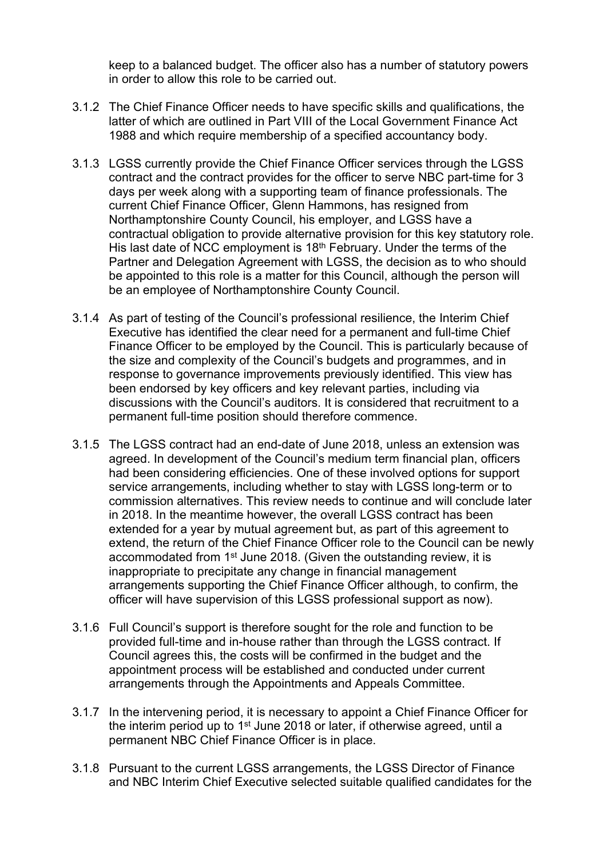keep to a balanced budget. The officer also has a number of statutory powers in order to allow this role to be carried out.

- 3.1.2 The Chief Finance Officer needs to have specific skills and qualifications, the latter of which are outlined in Part VIII of the Local Government Finance Act 1988 and which require membership of a specified accountancy body.
- 3.1.3 LGSS currently provide the Chief Finance Officer services through the LGSS contract and the contract provides for the officer to serve NBC part-time for 3 days per week along with a supporting team of finance professionals. The current Chief Finance Officer, Glenn Hammons, has resigned from Northamptonshire County Council, his employer, and LGSS have a contractual obligation to provide alternative provision for this key statutory role. His last date of NCC employment is 18<sup>th</sup> February. Under the terms of the Partner and Delegation Agreement with LGSS, the decision as to who should be appointed to this role is a matter for this Council, although the person will be an employee of Northamptonshire County Council.
- 3.1.4 As part of testing of the Council's professional resilience, the Interim Chief Executive has identified the clear need for a permanent and full-time Chief Finance Officer to be employed by the Council. This is particularly because of the size and complexity of the Council's budgets and programmes, and in response to governance improvements previously identified. This view has been endorsed by key officers and key relevant parties, including via discussions with the Council's auditors. It is considered that recruitment to a permanent full-time position should therefore commence.
- 3.1.5 The LGSS contract had an end-date of June 2018, unless an extension was agreed. In development of the Council's medium term financial plan, officers had been considering efficiencies. One of these involved options for support service arrangements, including whether to stay with LGSS long-term or to commission alternatives. This review needs to continue and will conclude later in 2018. In the meantime however, the overall LGSS contract has been extended for a year by mutual agreement but, as part of this agreement to extend, the return of the Chief Finance Officer role to the Council can be newly accommodated from 1<sup>st</sup> June 2018. (Given the outstanding review, it is inappropriate to precipitate any change in financial management arrangements supporting the Chief Finance Officer although, to confirm, the officer will have supervision of this LGSS professional support as now).
- 3.1.6 Full Council's support is therefore sought for the role and function to be provided full-time and in-house rather than through the LGSS contract. If Council agrees this, the costs will be confirmed in the budget and the appointment process will be established and conducted under current arrangements through the Appointments and Appeals Committee.
- 3.1.7 In the intervening period, it is necessary to appoint a Chief Finance Officer for the interim period up to 1<sup>st</sup> June 2018 or later, if otherwise agreed, until a permanent NBC Chief Finance Officer is in place.
- 3.1.8 Pursuant to the current LGSS arrangements, the LGSS Director of Finance and NBC Interim Chief Executive selected suitable qualified candidates for the